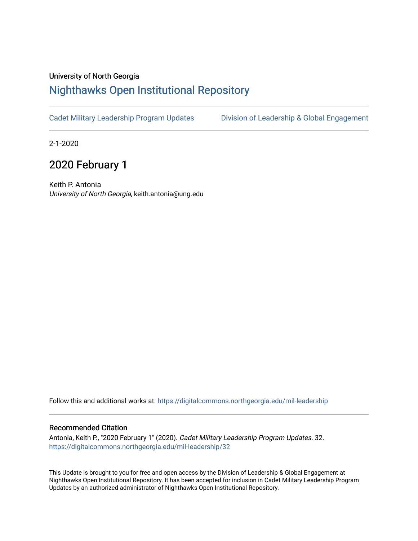## University of North Georgia

## [Nighthawks Open Institutional Repository](https://digitalcommons.northgeorgia.edu/)

[Cadet Military Leadership Program Updates](https://digitalcommons.northgeorgia.edu/mil-leadership) [Division of Leadership & Global Engagement](https://digitalcommons.northgeorgia.edu/leadership) 

2-1-2020

## 2020 February 1

Keith P. Antonia University of North Georgia, keith.antonia@ung.edu

Follow this and additional works at: [https://digitalcommons.northgeorgia.edu/mil-leadership](https://digitalcommons.northgeorgia.edu/mil-leadership?utm_source=digitalcommons.northgeorgia.edu%2Fmil-leadership%2F32&utm_medium=PDF&utm_campaign=PDFCoverPages) 

## Recommended Citation

Antonia, Keith P., "2020 February 1" (2020). Cadet Military Leadership Program Updates. 32. [https://digitalcommons.northgeorgia.edu/mil-leadership/32](https://digitalcommons.northgeorgia.edu/mil-leadership/32?utm_source=digitalcommons.northgeorgia.edu%2Fmil-leadership%2F32&utm_medium=PDF&utm_campaign=PDFCoverPages)

This Update is brought to you for free and open access by the Division of Leadership & Global Engagement at Nighthawks Open Institutional Repository. It has been accepted for inclusion in Cadet Military Leadership Program Updates by an authorized administrator of Nighthawks Open Institutional Repository.